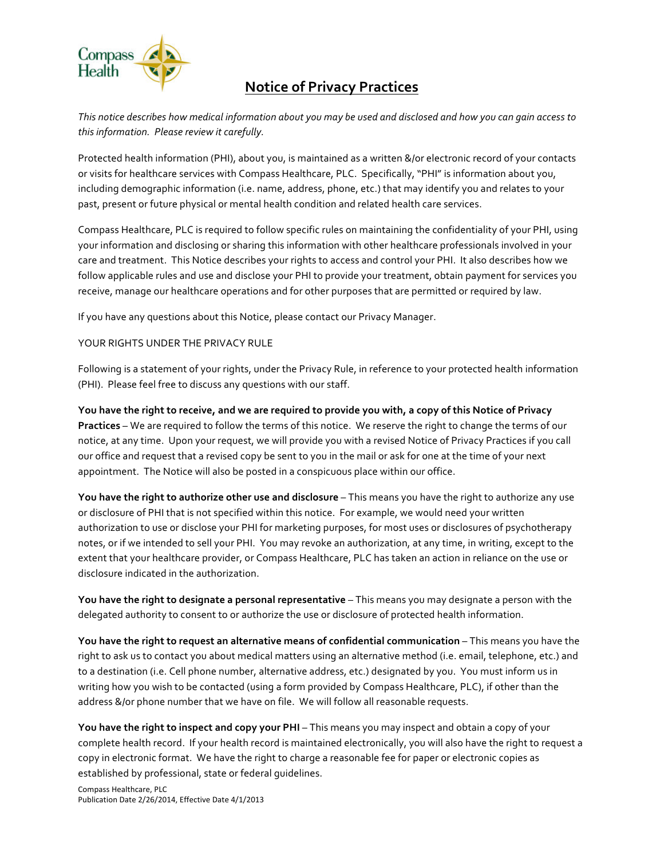

## **Notice of Privacy Practices**

This notice describes how medical information about you may be used and disclosed and how you can gain access to this information. Please review it carefully.

Protected health information (PHI), about you, is maintained as a written &/or electronic record of your contacts or visits for healthcare services with Compass Healthcare, PLC. Specifically, "PHI" is information about you, including demographic information (i.e. name, address, phone, etc.) that may identify you and relates to your past, present or future physical or mental health condition and related health care services.

Compass Healthcare, PLC is required to follow specific rules on maintaining the confidentiality of your PHI, using your information and disclosing or sharing this information with other healthcare professionals involved in your care and treatment. This Notice describes your rights to access and control your PHI. It also describes how we follow applicable rules and use and disclose your PHI to provide your treatment, obtain payment for services you receive, manage our healthcare operations and for other purposes that are permitted or required by law.

If you have any questions about this Notice, please contact our Privacy Manager.

## YOUR RIGHTS UNDER THE PRIVACY RULE

Following is a statement of your rights, under the Privacy Rule, in reference to your protected health information (PHI). Please feel free to discuss any questions with our staff.

You have the right to receive, and we are required to provide you with, a copy of this Notice of Privacy **Practices** – We are required to follow the terms of this notice. We reserve the right to change the terms of our notice, at any time. Upon your request, we will provide you with a revised Notice of Privacy Practices if you call our office and request that a revised copy be sent to you in the mail or ask for one at the time of your next appointment. The Notice will also be posted in a conspicuous place within our office.

**You have the right to authorize other use and disclosure** – This means you have the right to authorize any use or disclosure of PHI that is not specified within this notice. For example, we would need your written authorization to use or disclose your PHI for marketing purposes, for most uses or disclosures of psychotherapy notes, or if we intended to sell your PHI. You may revoke an authorization, at any time, in writing, except to the extent that your healthcare provider, or Compass Healthcare, PLC has taken an action in reliance on the use or disclosure indicated in the authorization.

**You have the right to designate a personal representative** – This means you may designate a person with the delegated authority to consent to or authorize the use or disclosure of protected health information.

**You have the right to request an alternative means of confidential communication – This means you have the** right to ask us to contact you about medical matters using an alternative method (i.e. email, telephone, etc.) and to a destination (i.e. Cell phone number, alternative address, etc.) designated by you. You must inform us in writing how you wish to be contacted (using a form provided by Compass Healthcare, PLC), if other than the address &/or phone number that we have on file. We will follow all reasonable requests.

**You have the right to inspect and copy your PHI** – This means you may inspect and obtain a copy of your complete health record. If your health record is maintained electronically, you will also have the right to request a copy in electronic format. We have the right to charge a reasonable fee for paper or electronic copies as established by professional, state or federal quidelines.

Compass Healthcare, PLC Publication Date 2/26/2014, Effective Date 4/1/2013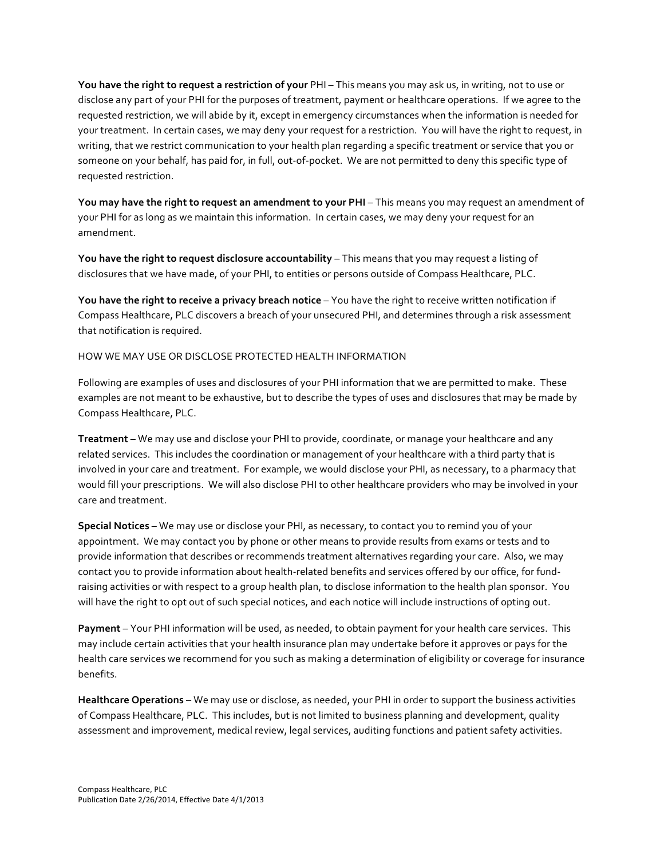**You have the right to request a restriction of your** PHI – This means you may ask us, in writing, not to use or disclose any part of your PHI for the purposes of treatment, payment or healthcare operations. If we agree to the requested restriction, we will abide by it, except in emergency circumstances when the information is needed for your treatment. In certain cases, we may deny your request for a restriction. You will have the right to request, in writing, that we restrict communication to your health plan regarding a specific treatment or service that you or someone on your behalf, has paid for, in full, out-of-pocket. We are not permitted to deny this specific type of requested restriction.

**You may have the right to request an amendment to your PHI** – This means you may request an amendment of your PHI for as long as we maintain this information. In certain cases, we may deny your request for an amendment. 

**You have the right to request disclosure accountability** – This means that you may request a listing of disclosures that we have made, of your PHI, to entities or persons outside of Compass Healthcare, PLC.

**You have the right to receive a privacy breach notice** – You have the right to receive written notification if Compass Healthcare, PLC discovers a breach of your unsecured PHI, and determines through a risk assessment that notification is required.

HOW WE MAY USE OR DISCLOSE PROTECTED HEALTH INFORMATION

Following are examples of uses and disclosures of your PHI information that we are permitted to make. These examples are not meant to be exhaustive, but to describe the types of uses and disclosures that may be made by Compass Healthcare, PLC.

**Treatment** – We may use and disclose your PHI to provide, coordinate, or manage your healthcare and any related services. This includes the coordination or management of your healthcare with a third party that is involved in your care and treatment. For example, we would disclose your PHI, as necessary, to a pharmacy that would fill your prescriptions. We will also disclose PHI to other healthcare providers who may be involved in your care and treatment. 

**Special Notices** – We may use or disclose your PHI, as necessary, to contact you to remind you of your appointment. We may contact you by phone or other means to provide results from exams or tests and to provide information that describes or recommends treatment alternatives regarding your care. Also, we may contact you to provide information about health-related benefits and services offered by our office, for fundraising activities or with respect to a group health plan, to disclose information to the health plan sponsor. You will have the right to opt out of such special notices, and each notice will include instructions of opting out.

**Payment** – Your PHI information will be used, as needed, to obtain payment for your health care services. This may include certain activities that your health insurance plan may undertake before it approves or pays for the health care services we recommend for you such as making a determination of eligibility or coverage for insurance benefits. 

**Healthcare Operations** – We may use or disclose, as needed, your PHI in order to support the business activities of Compass Healthcare, PLC. This includes, but is not limited to business planning and development, quality assessment and improvement, medical review, legal services, auditing functions and patient safety activities.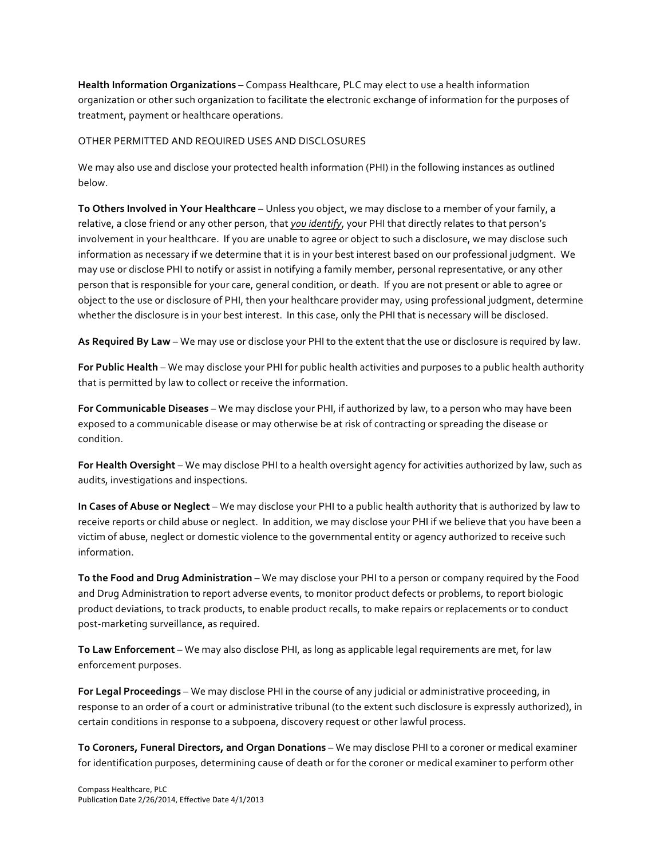**Health Information Organizations** – Compass Healthcare, PLC may elect to use a health information organization or other such organization to facilitate the electronic exchange of information for the purposes of treatment, payment or healthcare operations.

## OTHER PERMITTED AND REQUIRED USES AND DISCLOSURES

We may also use and disclose your protected health information (PHI) in the following instances as outlined below.

**To Others Involved in Your Healthcare** – Unless you object, we may disclose to a member of your family, a relative, a close friend or any other person, that you identify, your PHI that directly relates to that person's involvement in your healthcare. If you are unable to agree or object to such a disclosure, we may disclose such information as necessary if we determine that it is in your best interest based on our professional judgment. We may use or disclose PHI to notify or assist in notifying a family member, personal representative, or any other person that is responsible for your care, general condition, or death. If you are not present or able to agree or object to the use or disclosure of PHI, then your healthcare provider may, using professional judgment, determine whether the disclosure is in your best interest. In this case, only the PHI that is necessary will be disclosed.

As Required By Law – We may use or disclose your PHI to the extent that the use or disclosure is required by law.

For Public Health – We may disclose your PHI for public health activities and purposes to a public health authority that is permitted by law to collect or receive the information.

**For Communicable Diseases** – We may disclose your PHI, if authorized by law, to a person who may have been exposed to a communicable disease or may otherwise be at risk of contracting or spreading the disease or condition.

For Health Oversight – We may disclose PHI to a health oversight agency for activities authorized by law, such as audits, investigations and inspections.

**In Cases of Abuse or Neglect** – We may disclose your PHI to a public health authority that is authorized by law to receive reports or child abuse or neglect. In addition, we may disclose your PHI if we believe that you have been a victim of abuse, neglect or domestic violence to the governmental entity or agency authorized to receive such information. 

To the Food and Drug Administration – We may disclose your PHI to a person or company required by the Food and Drug Administration to report adverse events, to monitor product defects or problems, to report biologic product deviations, to track products, to enable product recalls, to make repairs or replacements or to conduct post-marketing surveillance, as required.

To Law Enforcement – We may also disclose PHI, as long as applicable legal requirements are met, for law enforcement purposes.

For Legal Proceedings – We may disclose PHI in the course of any judicial or administrative proceeding, in response to an order of a court or administrative tribunal (to the extent such disclosure is expressly authorized), in certain conditions in response to a subpoena, discovery request or other lawful process.

To Coroners, Funeral Directors, and Organ Donations – We may disclose PHI to a coroner or medical examiner for identification purposes, determining cause of death or for the coroner or medical examiner to perform other

Compass Healthcare, PLC Publication Date 2/26/2014, Effective Date 4/1/2013